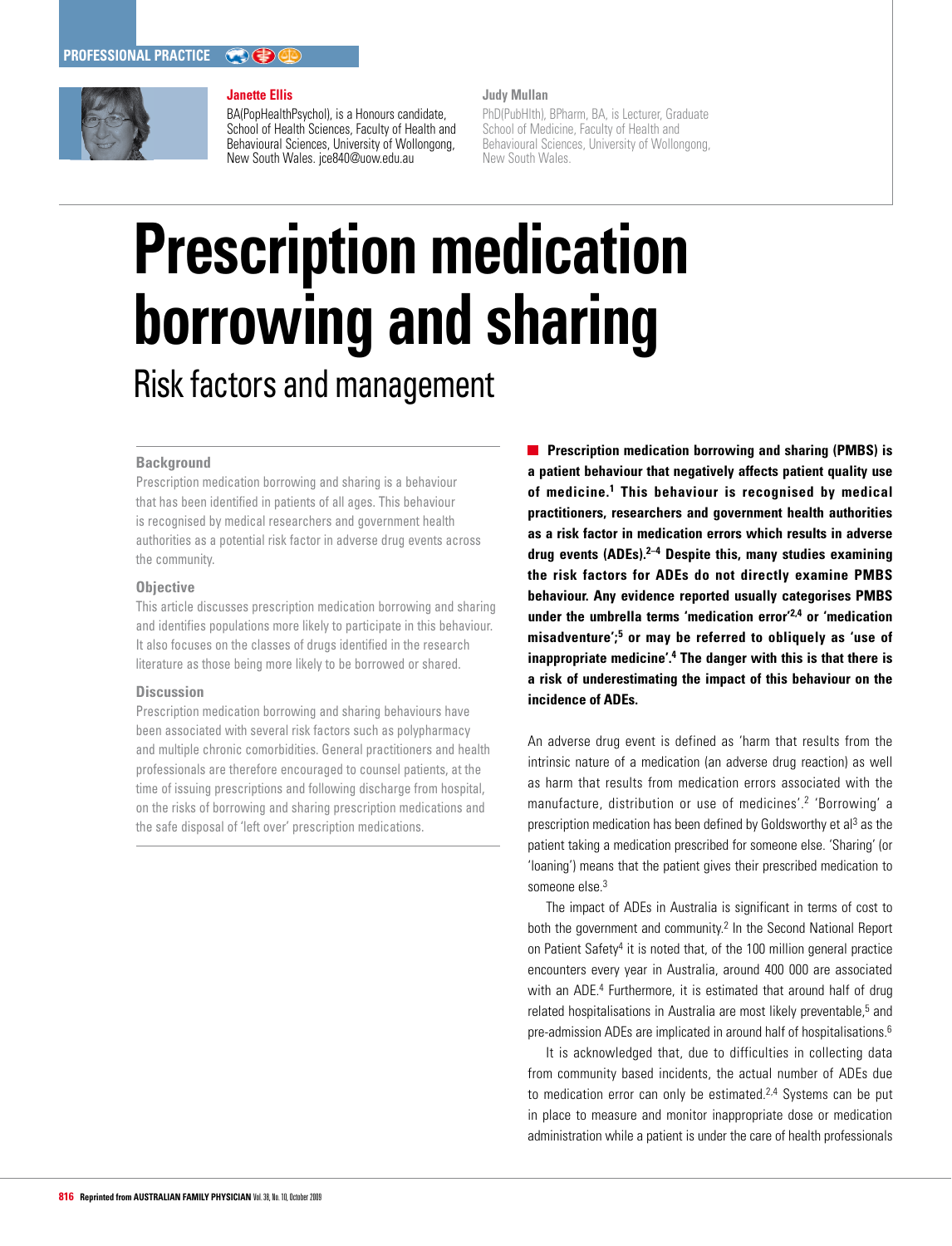

#### **Janette Ellis**

BA(PopHealthPsychol), is a Honours candidate, School of Health Sciences, Faculty of Health and Behavioural Sciences, University of Wollongong, New South Wales. jce840@uow.edu.au

#### **Judy Mullan**

PhD(PubHlth), BPharm, BA, is Lecturer, Graduate School of Medicine, Faculty of Health and Behavioural Sciences, University of Wollongong, New South Wales.

# **Prescription medication borrowing and sharing** Risk factors and management

## **Background**

Prescription medication borrowing and sharing is a behaviour that has been identified in patients of all ages. This behaviour is recognised by medical researchers and government health authorities as a potential risk factor in adverse drug events across the community.

## **Objective**

This article discusses prescription medication borrowing and sharing and identifies populations more likely to participate in this behaviour. It also focuses on the classes of drugs identified in the research literature as those being more likely to be borrowed or shared.

## **Discussion**

Prescription medication borrowing and sharing behaviours have been associated with several risk factors such as polypharmacy and multiple chronic comorbidities. General practitioners and health professionals are therefore encouraged to counsel patients, at the time of issuing prescriptions and following discharge from hospital, on the risks of borrowing and sharing prescription medications and the safe disposal of 'left over' prescription medications.

**Prescription medication borrowing and sharing (PMBS) is a patient behaviour that negatively affects patient quality use of medicine.1 This behaviour is recognised by medical practitioners, researchers and government health authorities as a risk factor in medication errors which results in adverse drug events (ADEs).2–4 Despite this, many studies examining the risk factors for ADEs do not directly examine PMBS behaviour. Any evidence reported usually categorises PMBS under the umbrella terms 'medication error'2,4 or 'medication misadventure';5 or may be referred to obliquely as 'use of inappropriate medicine'.4 The danger with this is that there is a risk of underestimating the impact of this behaviour on the incidence of ADEs.** 

An adverse drug event is defined as 'harm that results from the intrinsic nature of a medication (an adverse drug reaction) as well as harm that results from medication errors associated with the manufacture, distribution or use of medicines'.2 'Borrowing' a prescription medication has been defined by Goldsworthy et al<sup>3</sup> as the patient taking a medication prescribed for someone else. 'Sharing' (or 'loaning') means that the patient gives their prescribed medication to someone else.<sup>3</sup>

The impact of ADEs in Australia is significant in terms of cost to both the government and community.<sup>2</sup> In the Second National Report on Patient Safety<sup>4</sup> it is noted that, of the 100 million general practice encounters every year in Australia, around 400 000 are associated with an ADE.<sup>4</sup> Furthermore, it is estimated that around half of drug related hospitalisations in Australia are most likely preventable,<sup>5</sup> and pre-admission ADEs are implicated in around half of hospitalisations.6

It is acknowledged that, due to difficulties in collecting data from community based incidents, the actual number of ADEs due to medication error can only be estimated.<sup>2,4</sup> Systems can be put in place to measure and monitor inappropriate dose or medication administration while a patient is under the care of health professionals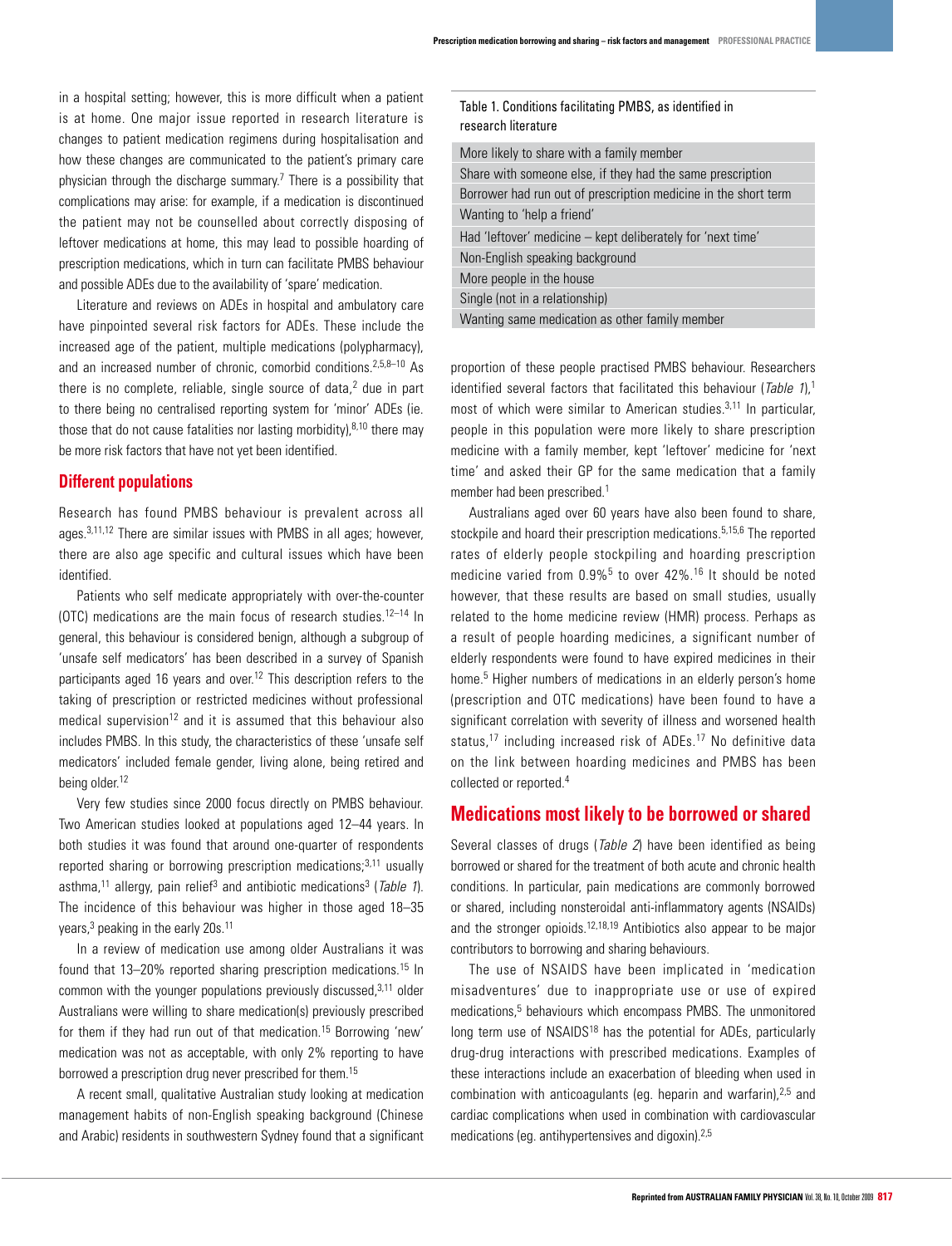Table 1. Conditions facilitating PMBS, as identified in

research literature

in a hospital setting; however, this is more difficult when a patient is at home. One major issue reported in research literature is changes to patient medication regimens during hospitalisation and how these changes are communicated to the patient's primary care physician through the discharge summary.<sup>7</sup> There is a possibility that complications may arise: for example, if a medication is discontinued the patient may not be counselled about correctly disposing of leftover medications at home, this may lead to possible hoarding of prescription medications, which in turn can facilitate PMBS behaviour and possible ADEs due to the availability of 'spare' medication.

Literature and reviews on ADEs in hospital and ambulatory care have pinpointed several risk factors for ADEs. These include the increased age of the patient, multiple medications (polypharmacy), and an increased number of chronic, comorbid conditions.2,5,8–10 As there is no complete, reliable, single source of data, $^2$  due in part to there being no centralised reporting system for 'minor' ADEs (ie. those that do not cause fatalities nor lasting morbidity), $8,10$  there may be more risk factors that have not yet been identified.

## **Different populations**

Research has found PMBS behaviour is prevalent across all ages.3,11,12 There are similar issues with PMBS in all ages; however, there are also age specific and cultural issues which have been identified.

Patients who self medicate appropriately with over-the-counter (OTC) medications are the main focus of research studies.<sup>12-14</sup> In general, this behaviour is considered benign, although a subgroup of 'unsafe self medicators' has been described in a survey of Spanish participants aged 16 years and over.<sup>12</sup> This description refers to the taking of prescription or restricted medicines without professional medical supervision<sup>12</sup> and it is assumed that this behaviour also includes PMBS. In this study, the characteristics of these 'unsafe self medicators' included female gender, living alone, being retired and being older.<sup>12</sup>

Very few studies since 2000 focus directly on PMBS behaviour. Two American studies looked at populations aged 12–44 years. In both studies it was found that around one-quarter of respondents reported sharing or borrowing prescription medications; $3,11$  usually asthma,<sup>11</sup> allergy, pain relief<sup>3</sup> and antibiotic medications<sup>3</sup> (*Table 1*). The incidence of this behaviour was higher in those aged 18–35 years,<sup>3</sup> peaking in the early 20s.<sup>11</sup>

In a review of medication use among older Australians it was found that 13–20% reported sharing prescription medications.<sup>15</sup> In common with the younger populations previously discussed,  $3,11$  older Australians were willing to share medication(s) previously prescribed for them if they had run out of that medication.15 Borrowing 'new' medication was not as acceptable, with only 2% reporting to have borrowed a prescription drug never prescribed for them.15

A recent small, qualitative Australian study looking at medication management habits of non-English speaking background (Chinese and Arabic) residents in southwestern Sydney found that a significant

| research literature                                             |
|-----------------------------------------------------------------|
| More likely to share with a family member                       |
| Share with someone else, if they had the same prescription      |
| Borrower had run out of prescription medicine in the short term |
| Wanting to 'help a friend'                                      |
| Had 'leftover' medicine – kept deliberately for 'next time'     |
| Non-English speaking background                                 |
| More people in the house                                        |
| Single (not in a relationship)                                  |
| Wanting same medication as other family member                  |
|                                                                 |

proportion of these people practised PMBS behaviour. Researchers identified several factors that facilitated this behaviour (*Table 1*),<sup>1</sup> most of which were similar to American studies.<sup>3,11</sup> In particular, people in this population were more likely to share prescription medicine with a family member, kept 'leftover' medicine for 'next time' and asked their GP for the same medication that a family member had been prescribed.1

Australians aged over 60 years have also been found to share, stockpile and hoard their prescription medications.<sup>5,15,6</sup> The reported rates of elderly people stockpiling and hoarding prescription medicine varied from  $0.9\%$ <sup>5</sup> to over  $42\%$ .<sup>16</sup> It should be noted however, that these results are based on small studies, usually related to the home medicine review (HMR) process. Perhaps as a result of people hoarding medicines, a significant number of elderly respondents were found to have expired medicines in their home.<sup>5</sup> Higher numbers of medications in an elderly person's home (prescription and OTC medications) have been found to have a significant correlation with severity of illness and worsened health status,<sup>17</sup> including increased risk of ADEs.<sup>17</sup> No definitive data on the link between hoarding medicines and PMBS has been collected or reported.4

# **Medications most likely to be borrowed or shared**

Several classes of drugs (*Table 2*) have been identified as being borrowed or shared for the treatment of both acute and chronic health conditions. In particular, pain medications are commonly borrowed or shared, including nonsteroidal anti-inflammatory agents (NSAIDs) and the stronger opioids.<sup>12,18,19</sup> Antibiotics also appear to be major contributors to borrowing and sharing behaviours.

The use of NSAIDS have been implicated in 'medication misadventures' due to inappropriate use or use of expired medications,<sup>5</sup> behaviours which encompass PMBS. The unmonitored long term use of NSAIDS<sup>18</sup> has the potential for ADEs, particularly drug-drug interactions with prescribed medications. Examples of these interactions include an exacerbation of bleeding when used in combination with anticoagulants (eg. heparin and warfarin), $2.5$  and cardiac complications when used in combination with cardiovascular medications (eg. antihypertensives and digoxin).2,5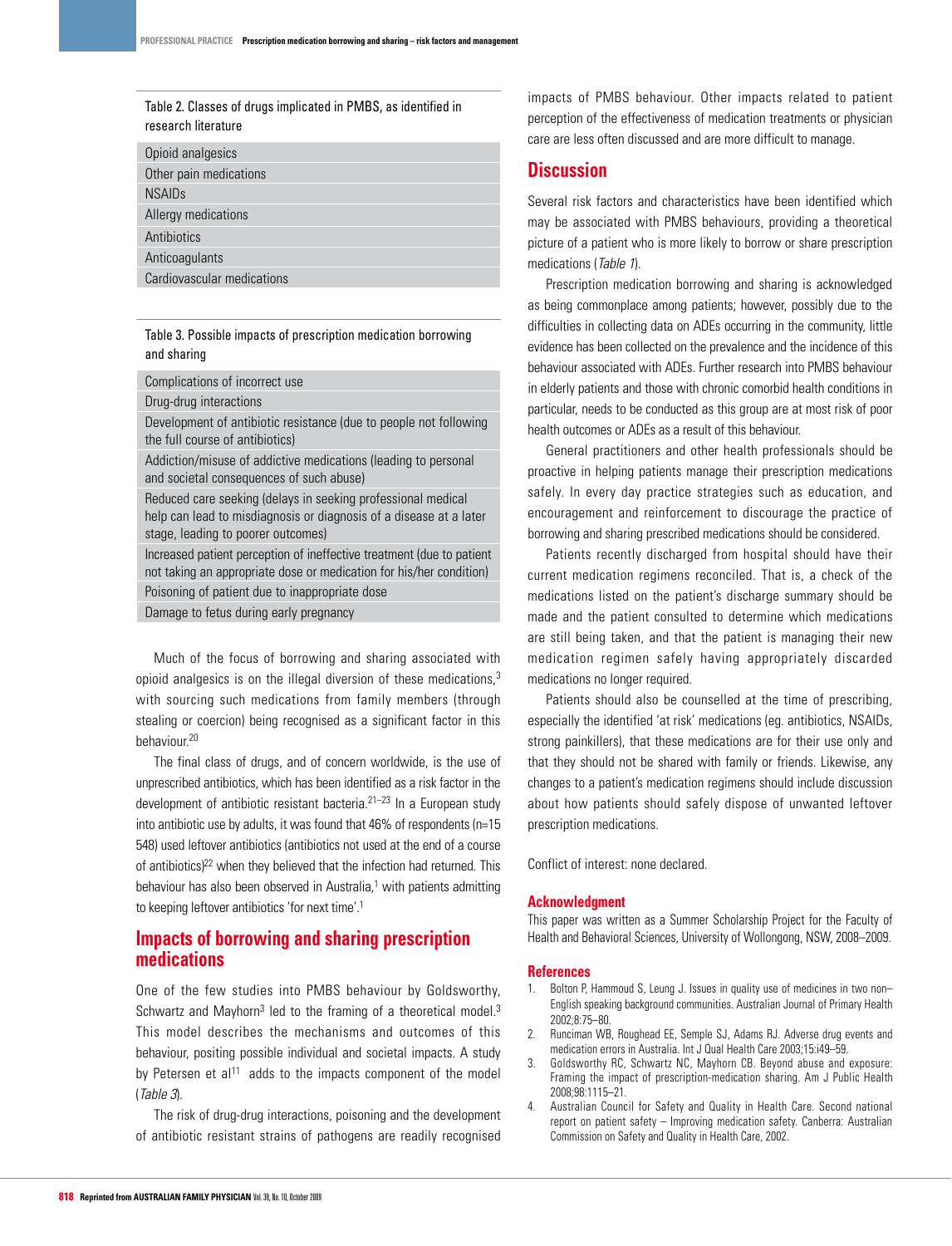## Table 2. Classes of drugs implicated in PMBS, as identified in research literature

# Table 3. Possible impacts of prescription medication borrowing and sharing

Complications of incorrect use

Drug-drug interactions

Development of antibiotic resistance (due to people not following the full course of antibiotics)

Addiction/misuse of addictive medications (leading to personal and societal consequences of such abuse)

Reduced care seeking (delays in seeking professional medical help can lead to misdiagnosis or diagnosis of a disease at a later stage, leading to poorer outcomes)

Increased patient perception of ineffective treatment (due to patient not taking an appropriate dose or medication for his/her condition) Poisoning of patient due to inappropriate dose

Damage to fetus during early pregnancy

Much of the focus of borrowing and sharing associated with opioid analgesics is on the illegal diversion of these medications,<sup>3</sup> with sourcing such medications from family members (through stealing or coercion) being recognised as a significant factor in this behaviour.20

The final class of drugs, and of concern worldwide, is the use of unprescribed antibiotics, which has been identified as a risk factor in the development of antibiotic resistant bacteria. $21-23$  In a European study into antibiotic use by adults, it was found that 46% of respondents (n=15 548) used leftover antibiotics (antibiotics not used at the end of a course of antibiotics)<sup>22</sup> when they believed that the infection had returned. This behaviour has also been observed in Australia,<sup>1</sup> with patients admitting to keeping leftover antibiotics 'for next time'.1

# **Impacts of borrowing and sharing prescription medications**

One of the few studies into PMBS behaviour by Goldsworthy, Schwartz and Mayhorn<sup>3</sup> led to the framing of a theoretical model.<sup>3</sup> This model describes the mechanisms and outcomes of this behaviour, positing possible individual and societal impacts. A study by Petersen et al<sup>11</sup> adds to the impacts component of the model (Table 3).

The risk of drug-drug interactions, poisoning and the development of antibiotic resistant strains of pathogens are readily recognised

impacts of PMBS behaviour. Other impacts related to patient perception of the effectiveness of medication treatments or physician care are less often discussed and are more difficult to manage.

# **Discussion**

Several risk factors and characteristics have been identified which may be associated with PMBS behaviours, providing a theoretical picture of a patient who is more likely to borrow or share prescription medications (Table 1).

Prescription medication borrowing and sharing is acknowledged as being commonplace among patients; however, possibly due to the difficulties in collecting data on ADEs occurring in the community, little evidence has been collected on the prevalence and the incidence of this behaviour associated with ADEs. Further research into PMBS behaviour in elderly patients and those with chronic comorbid health conditions in particular, needs to be conducted as this group are at most risk of poor health outcomes or ADEs as a result of this behaviour.

General practitioners and other health professionals should be proactive in helping patients manage their prescription medications safely. In every day practice strategies such as education, and encouragement and reinforcement to discourage the practice of borrowing and sharing prescribed medications should be considered.

Patients recently discharged from hospital should have their current medication regimens reconciled. That is, a check of the medications listed on the patient's discharge summary should be made and the patient consulted to determine which medications are still being taken, and that the patient is managing their new medication regimen safely having appropriately discarded medications no longer required.

Patients should also be counselled at the time of prescribing, especially the identified 'at risk' medications (eg. antibiotics, NSAIDs, strong painkillers), that these medications are for their use only and that they should not be shared with family or friends. Likewise, any changes to a patient's medication regimens should include discussion about how patients should safely dispose of unwanted leftover prescription medications.

Conflict of interest: none declared.

### **Acknowledgment**

This paper was written as a Summer Scholarship Project for the Faculty of Health and Behavioral Sciences, University of Wollongong, NSW, 2008–2009.

### **References**

- 1. Bolton P, Hammoud S, Leung J. Issues in quality use of medicines in two non– English speaking background communities. Australian Journal of Primary Health 2002;8:75–80.
- 2. Runciman WB, Roughead EE, Semple SJ, Adams RJ. Adverse drug events and medication errors in Australia. Int J Qual Health Care 2003;15:i49–59.
- 3. Goldsworthy RC, Schwartz NC, Mayhorn CB. Beyond abuse and exposure: Framing the impact of prescription-medication sharing. Am J Public Health 2008;98:1115–21.
- 4. Australian Council for Safety and Quality in Health Care. Second national report on patient safety – Improving medication safety. Canberra: Australian Commission on Safety and Quality in Health Care, 2002.